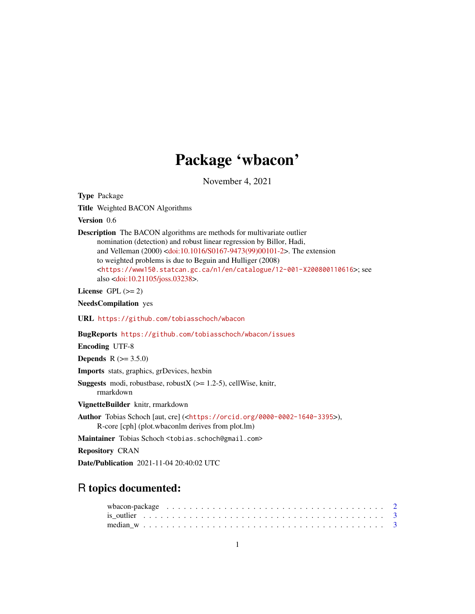## Package 'wbacon'

November 4, 2021

<span id="page-0-0"></span>Type Package

Title Weighted BACON Algorithms

Version 0.6

Description The BACON algorithms are methods for multivariate outlier nomination (detection) and robust linear regression by Billor, Hadi, and Velleman (2000) [<doi:10.1016/S0167-9473\(99\)00101-2>](https://doi.org/10.1016/S0167-9473(99)00101-2). The extension to weighted problems is due to Beguin and Hulliger (2008) <<https://www150.statcan.gc.ca/n1/en/catalogue/12-001-X200800110616>>; see also [<doi:10.21105/joss.03238>](https://doi.org/10.21105/joss.03238).

License GPL  $(>= 2)$ 

NeedsCompilation yes

URL <https://github.com/tobiasschoch/wbacon>

BugReports <https://github.com/tobiasschoch/wbacon/issues>

Encoding UTF-8

**Depends** R  $(>= 3.5.0)$ 

Imports stats, graphics, grDevices, hexbin

**Suggests** modi, robustbase, robust $X$  ( $>= 1.2-5$ ), cellWise, knitr, rmarkdown

VignetteBuilder knitr, rmarkdown

Author Tobias Schoch [aut, cre] (<<https://orcid.org/0000-0002-1640-3395>>), R-core [cph] (plot.wbaconlm derives from plot.lm)

Maintainer Tobias Schoch <tobias.schoch@gmail.com>

Repository CRAN

Date/Publication 2021-11-04 20:40:02 UTC

## R topics documented:

| wbacon-package $\ldots \ldots \ldots \ldots \ldots \ldots \ldots \ldots \ldots \ldots \ldots \ldots \ldots$ |  |
|-------------------------------------------------------------------------------------------------------------|--|
|                                                                                                             |  |
|                                                                                                             |  |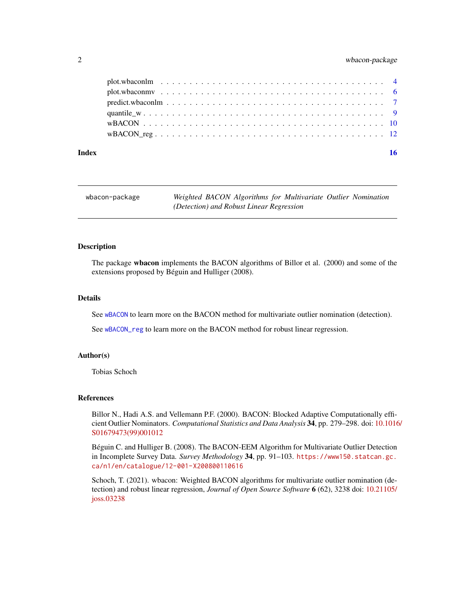#### <span id="page-1-0"></span>2 wbacon-package

| Index | 16 |
|-------|----|
|       |    |
|       |    |
|       |    |
|       |    |
|       |    |
|       |    |

| wbacon-package | Weighted BACON Algorithms for Multivariate Outlier Nomination |
|----------------|---------------------------------------------------------------|
|                | (Detection) and Robust Linear Regression                      |

#### Description

The package wbacon implements the BACON algorithms of Billor et al. (2000) and some of the extensions proposed by Béguin and Hulliger (2008).

#### Details

See [wBACON](#page-9-1) to learn more on the BACON method for multivariate outlier nomination (detection).

See [wBACON\\_reg](#page-11-1) to learn more on the BACON method for robust linear regression.

#### Author(s)

Tobias Schoch

#### References

Billor N., Hadi A.S. and Vellemann P.F. (2000). BACON: Blocked Adaptive Computationally efficient Outlier Nominators. *Computational Statistics and Data Analysis* 34, pp. 279–298. doi: [10.1016](https://doi.org/10.1016/S0167-9473(99)00101-2)/ [S01679473\(99\)001012](https://doi.org/10.1016/S0167-9473(99)00101-2)

Béguin C. and Hulliger B. (2008). The BACON-EEM Algorithm for Multivariate Outlier Detection in Incomplete Survey Data. *Survey Methodology* 34, pp. 91–103. [https://www150.statcan.gc.](https://www150.statcan.gc.ca/n1/en/catalogue/12-001-X200800110616) [ca/n1/en/catalogue/12-001-X200800110616](https://www150.statcan.gc.ca/n1/en/catalogue/12-001-X200800110616)

Schoch, T. (2021). wbacon: Weighted BACON algorithms for multivariate outlier nomination (detection) and robust linear regression, *Journal of Open Source Software* 6 (62), 3238 doi: [10.21105/](https://doi.org/10.21105/joss.03238) [joss.03238](https://doi.org/10.21105/joss.03238)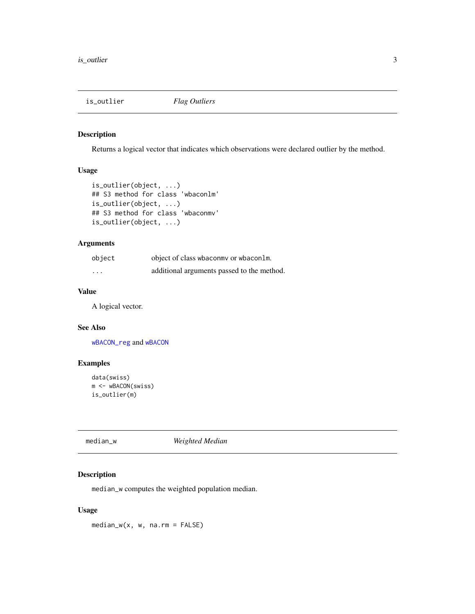<span id="page-2-0"></span>

#### <span id="page-2-2"></span>Description

Returns a logical vector that indicates which observations were declared outlier by the method.

#### Usage

```
is_outlier(object, ...)
## S3 method for class 'wbaconlm'
is_outlier(object, ...)
## S3 method for class 'wbaconmv'
is_outlier(object, ...)
```
#### Arguments

| object                  | object of class wbaconmy or wbaconlm.      |
|-------------------------|--------------------------------------------|
| $\cdot$ $\cdot$ $\cdot$ | additional arguments passed to the method. |

#### Value

A logical vector.

#### See Also

[wBACON\\_reg](#page-11-1) and [wBACON](#page-9-1)

#### Examples

```
data(swiss)
m <- wBACON(swiss)
is_outlier(m)
```
<span id="page-2-1"></span>median\_w *Weighted Median*

#### Description

median\_w computes the weighted population median.

#### Usage

median\_w(x, w, na.rm = FALSE)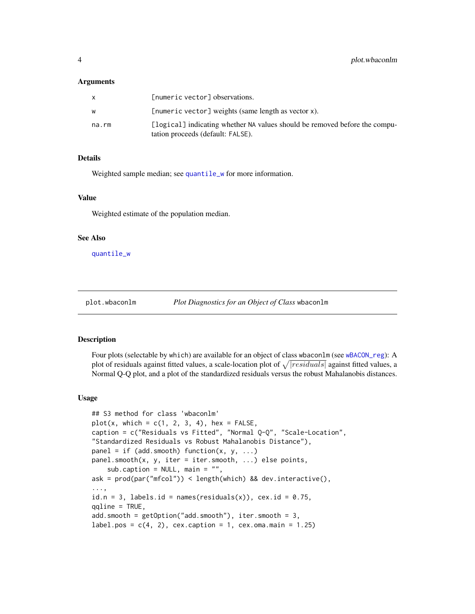#### <span id="page-3-0"></span>Arguments

|       | [numeric vector] observations.                                                                                  |
|-------|-----------------------------------------------------------------------------------------------------------------|
| w     | [numeric vector] weights (same length as vector x).                                                             |
| na.rm | [logical] indicating whether NA values should be removed before the compu-<br>tation proceeds (default: FALSE). |

#### Details

Weighted sample median; see [quantile\\_w](#page-8-1) for more information.

#### Value

Weighted estimate of the population median.

#### See Also

[quantile\\_w](#page-8-1)

```
plot.wbaconlm Plot Diagnostics for an Object of Class wbaconlm
```
#### Description

Four plots (selectable by which) are available for an object of class wbaconlm (see [wBACON\\_reg](#page-11-1)): A plot of residuals against fitted values, a scale-location plot of  $\sqrt{|residuals|}$  against fitted values, a Normal Q-Q plot, and a plot of the standardized residuals versus the robust Mahalanobis distances.

#### Usage

```
## S3 method for class 'wbaconlm'
plot(x, which = c(1, 2, 3, 4), hex = FALSE,caption = c("Residuals vs Fitted", "Normal Q-Q", "Scale-Location",
"Standardized Residuals vs Robust Mahalanobis Distance"),
panel = if (add.smooth) function(x, y, ...)panel.smooth(x, y, iter = iter.smooth, ...) else points,
    sub.caption = NULL, main = "",
ask = prod(par("mfcol")) < length(which) && dev.interactive(),
...,
id.n = 3, labels.id = names(residuals(x)), cex.id = 0.75,
qqline = TRUE,
add.smooth = getOption("add.smooth"), iter.smooth = 3,
label.pos = c(4, 2), cex.caption = 1, cex.oma.main = 1.25)
```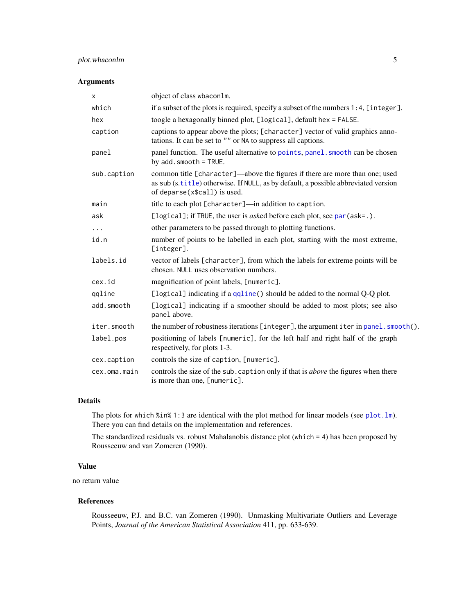#### <span id="page-4-0"></span>plot.wbaconlm 5

#### Arguments

| X            | object of class wbacon1m.                                                                                                                                                                         |
|--------------|---------------------------------------------------------------------------------------------------------------------------------------------------------------------------------------------------|
| which        | if a subset of the plots is required, specify a subset of the numbers 1:4, [integer].                                                                                                             |
| hex          | toogle a hexagonally binned plot, [logical], default hex = FALSE.                                                                                                                                 |
| caption      | captions to appear above the plots; [character] vector of valid graphics anno-<br>tations. It can be set to "" or NA to suppress all captions.                                                    |
| panel        | panel function. The useful alternative to points, panel. smooth can be chosen<br>by $add.smooth = TRUE.$                                                                                          |
| sub.caption  | common title [character]—above the figures if there are more than one; used<br>as sub (s.title) otherwise. If NULL, as by default, a possible abbreviated version<br>of deparse(x\$call) is used. |
| main         | title to each plot [character]—in addition to caption.                                                                                                                                            |
| ask          | [logical]; if TRUE, the user is <i>asked</i> before each plot, see par (ask=.).                                                                                                                   |
| $\cdots$     | other parameters to be passed through to plotting functions.                                                                                                                                      |
| id.n         | number of points to be labelled in each plot, starting with the most extreme,<br>[integer].                                                                                                       |
| labels.id    | vector of labels [character], from which the labels for extreme points will be<br>chosen. NULL uses observation numbers.                                                                          |
| cex.id       | magnification of point labels, [numeric].                                                                                                                                                         |
| qqline       | [logical] indicating if a qqline() should be added to the normal Q-Q plot.                                                                                                                        |
| add.smooth   | [logical] indicating if a smoother should be added to most plots; see also<br>panel above.                                                                                                        |
| iter.smooth  | the number of robustness iterations [integer], the argument iter in panel. smooth().                                                                                                              |
| label.pos    | positioning of labels [numeric], for the left half and right half of the graph<br>respectively, for plots 1-3.                                                                                    |
| cex.caption  | controls the size of caption, [numeric].                                                                                                                                                          |
| cex.oma.main | controls the size of the sub. caption only if that is <i>above</i> the figures when there<br>is more than one, [numeric].                                                                         |

#### Details

The plots for which %in% 1:3 are identical with the plot method for linear models (see plot. lm). There you can find details on the implementation and references.

The standardized residuals vs. robust Mahalanobis distance plot (which = 4) has been proposed by Rousseeuw and van Zomeren (1990).

#### Value

no return value

#### References

Rousseeuw, P.J. and B.C. van Zomeren (1990). Unmasking Multivariate Outliers and Leverage Points, *Journal of the American Statistical Association* 411, pp. 633-639.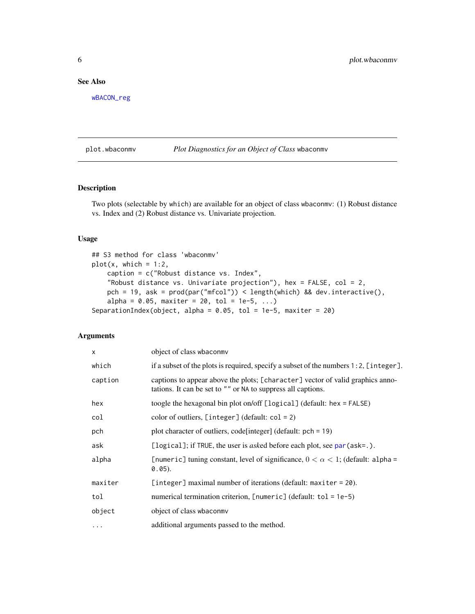#### <span id="page-5-0"></span>See Also

[wBACON\\_reg](#page-11-1)

#### <span id="page-5-1"></span>plot.wbaconmv *Plot Diagnostics for an Object of Class* wbaconmv

#### Description

Two plots (selectable by which) are available for an object of class wbaconmv: (1) Robust distance vs. Index and (2) Robust distance vs. Univariate projection.

#### Usage

```
## S3 method for class 'wbaconmv'
plot(x, which = 1:2,caption = c("Robust distance vs. Index",
    "Robust distance vs. Univariate projection"), hex = FALSE, col = 2,
   pch = 19, ask = prod(par("mfcol")) < length(which) && dev.interactive(),
    alpha = 0.05, maxiter = 20, tol = 1e-5, ...)
SeparationIndex(object, alpha = 0.05, tol = 1e-5, maxiter = 20)
```
#### Arguments

| $\mathsf{x}$ | object of class wbaconmy                                                                                                                       |
|--------------|------------------------------------------------------------------------------------------------------------------------------------------------|
| which        | if a subset of the plots is required, specify a subset of the numbers $1:2$ , [integer].                                                       |
| caption      | captions to appear above the plots; [character] vector of valid graphics anno-<br>tations. It can be set to "" or NA to suppress all captions. |
| hex          | toogle the hexagonal bin plot on/off $[\text{logical}]$ (default: hex = FALSE)                                                                 |
| col          | color of outliers, $[integer]$ (default: $col = 2$ )                                                                                           |
| pch          | plot character of outliers, code [integer] (default: $pch = 19$ )                                                                              |
| ask          | [logical]; if TRUE, the user is asked before each plot, see par (ask=.).                                                                       |
| alpha        | [numeric] tuning constant, level of significance, $0 < \alpha < 1$ ; (default: alpha =<br>$0.05$ ).                                            |
| maxiter      | [integer] maximal number of iterations (default: $maxiter = 20$ ).                                                                             |
| tol          | numerical termination criterion, $[numeric]$ (default: tol = 1e-5)                                                                             |
| object       | object of class wbaconmy                                                                                                                       |
| $\cdots$     | additional arguments passed to the method.                                                                                                     |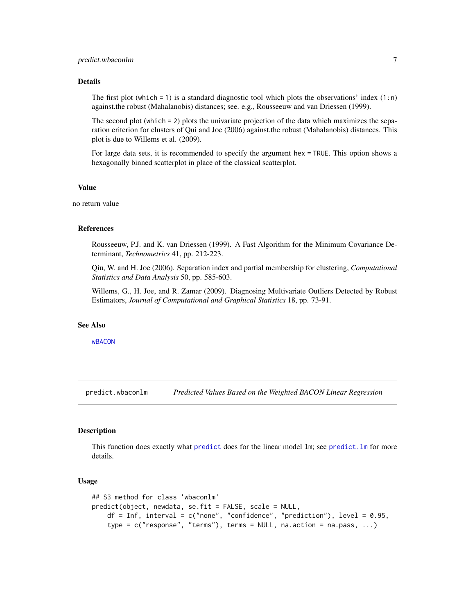#### <span id="page-6-0"></span>Details

The first plot (which  $= 1$ ) is a standard diagnostic tool which plots the observations' index  $(1:n)$ against.the robust (Mahalanobis) distances; see. e.g., Rousseeuw and van Driessen (1999).

The second plot (which = 2) plots the univariate projection of the data which maximizes the separation criterion for clusters of Qui and Joe (2006) against.the robust (Mahalanobis) distances. This plot is due to Willems et al. (2009).

For large data sets, it is recommended to specify the argument hex = TRUE. This option shows a hexagonally binned scatterplot in place of the classical scatterplot.

#### Value

no return value

#### References

Rousseeuw, P.J. and K. van Driessen (1999). A Fast Algorithm for the Minimum Covariance Determinant, *Technometrics* 41, pp. 212-223.

Qiu, W. and H. Joe (2006). Separation index and partial membership for clustering, *Computational Statistics and Data Analysis* 50, pp. 585-603.

Willems, G., H. Joe, and R. Zamar (2009). Diagnosing Multivariate Outliers Detected by Robust Estimators, *Journal of Computational and Graphical Statistics* 18, pp. 73-91.

#### See Also

[wBACON](#page-9-1)

<span id="page-6-1"></span>predict.wbaconlm *Predicted Values Based on the Weighted BACON Linear Regression*

#### **Description**

This function does exactly what [predict](#page-0-0) does for the linear model lm; see [predict.lm](#page-0-0) for more details.

#### Usage

```
## S3 method for class 'wbaconlm'
predict(object, newdata, se.fit = FALSE, scale = NULL,
    df = Inf, interval = c("none", "confidence", "prediction"), level = 0.95,
    type = c("response", "terms"), terms = NULL, na.action = na.pass, ...)
```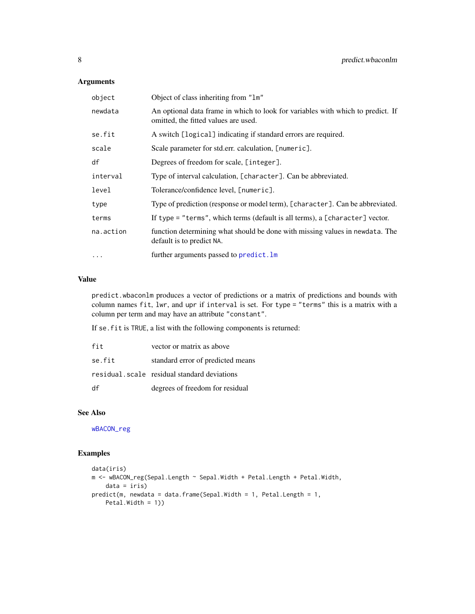#### <span id="page-7-0"></span>Arguments

| object    | Object of class inheriting from "1m"                                                                                    |
|-----------|-------------------------------------------------------------------------------------------------------------------------|
| newdata   | An optional data frame in which to look for variables with which to predict. If<br>omitted, the fitted values are used. |
| se.fit    | A switch [logical] indicating if standard errors are required.                                                          |
| scale     | Scale parameter for std.err. calculation, [numeric].                                                                    |
| df        | Degrees of freedom for scale, [integer].                                                                                |
| interval  | Type of interval calculation, [character]. Can be abbreviated.                                                          |
| level     | Tolerance/confidence level, [numeric].                                                                                  |
| type      | Type of prediction (response or model term), [character]. Can be abbreviated.                                           |
| terms     | If type = "terms", which terms (default is all terms), a [character] vector.                                            |
| na.action | function determining what should be done with missing values in newdata. The<br>default is to predict NA.               |
| $\ddotsc$ | further arguments passed to predict. Im                                                                                 |

#### Value

predict.wbaconlm produces a vector of predictions or a matrix of predictions and bounds with column names fit, lwr, and upr if interval is set. For type = "terms" this is a matrix with a column per term and may have an attribute "constant".

If se.fit is TRUE, a list with the following components is returned:

| fit    | vector or matrix as above                   |
|--------|---------------------------------------------|
| se.fit | standard error of predicted means           |
|        | residual.scale residual standard deviations |
| df     | degrees of freedom for residual             |

#### See Also

[wBACON\\_reg](#page-11-1)

#### Examples

```
data(iris)
m <- wBACON_reg(Sepal.Length ~ Sepal.Width + Petal.Length + Petal.Width,
    data = iris)
predict(m, newdata = data.frame(Sepal.Width = 1, Petal.Length = 1,
   Petal.Width = 1))
```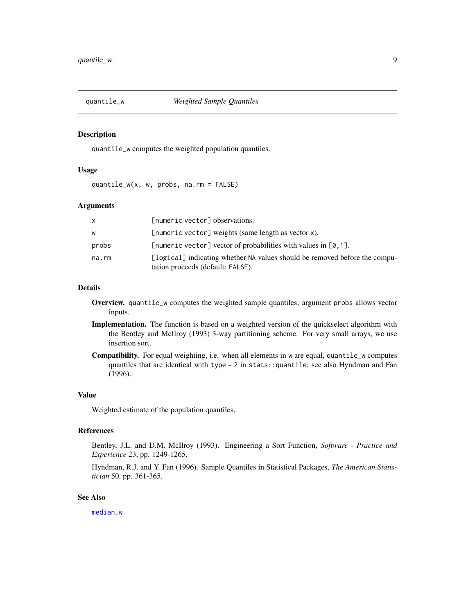<span id="page-8-1"></span><span id="page-8-0"></span>

#### Description

quantile\_w computes the weighted population quantiles.

#### Usage

quantile\_w(x, w, probs, na.rm = FALSE)

#### Arguments

| X     | [numeric vector] observations.                                                                                  |
|-------|-----------------------------------------------------------------------------------------------------------------|
| W     | [numeric vector] weights (same length as vector x).                                                             |
| probs | [numeric vector] vector of probabilities with values in $[0, 1]$ .                                              |
| na.rm | [logical] indicating whether NA values should be removed before the compu-<br>tation proceeds (default: FALSE). |

#### Details

- Overview. quantile\_w computes the weighted sample quantiles; argument probs allows vector inputs.
- Implementation. The function is based on a weighted version of the quickselect algorithm with the Bentley and McIlroy (1993) 3-way partitioning scheme. For very small arrays, we use insertion sort.
- Compatibility. For equal weighting, i.e. when all elements in w are equal, quantile\_w computes quantiles that are identical with type = 2 in stats::quantile; see also Hyndman and Fan (1996).

#### Value

Weighted estimate of the population quantiles.

### References

Bentley, J.L. and D.M. McIlroy (1993). Engineering a Sort Function, *Software - Practice and Experience* 23, pp. 1249-1265.

Hyndman, R.J. and Y. Fan (1996). Sample Quantiles in Statistical Packages, *The American Statistician* 50, pp. 361-365.

#### See Also

[median\\_w](#page-2-1)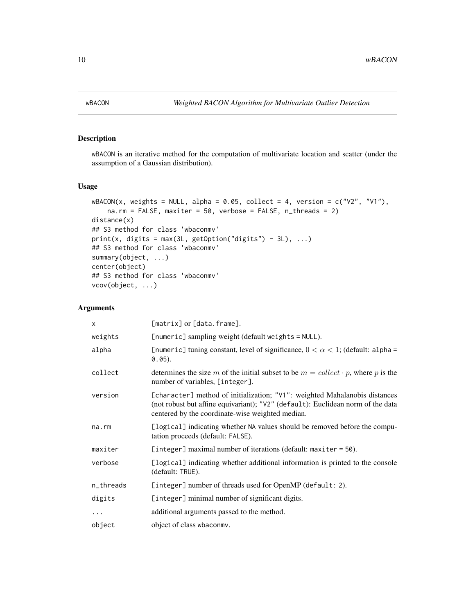<span id="page-9-1"></span><span id="page-9-0"></span>

#### Description

wBACON is an iterative method for the computation of multivariate location and scatter (under the assumption of a Gaussian distribution).

#### Usage

```
wBACON(x, weights = NULL, alpha = 0.05, collect = 4, version = c("V2", "V1"),na.rm = FALSE, maxiter = 50, verbose = FALSE, n_threads = 2)
distance(x)
## S3 method for class 'wbaconmv'
print(x, digits = max(3L, getOption("digits") - 3L), ...)## S3 method for class 'wbaconmv'
summary(object, ...)
center(object)
## S3 method for class 'wbaconmv'
vcov(object, ...)
```
#### Arguments

| $\times$    | [matrix] or [data.frame].                                                                                                                                                                                         |
|-------------|-------------------------------------------------------------------------------------------------------------------------------------------------------------------------------------------------------------------|
| weights     | [numeric] sampling weight (default weights = NULL).                                                                                                                                                               |
| alpha       | [numeric] tuning constant, level of significance, $0 < \alpha < 1$ ; (default: alpha =<br>$0.05$ ).                                                                                                               |
| collect     | determines the size m of the initial subset to be $m = collect \cdot p$ , where p is the<br>number of variables, [integer].                                                                                       |
| version     | [character] method of initialization; "V1": weighted Mahalanobis distances<br>(not robust but affine equivariant); "V2" (default): Euclidean norm of the data<br>centered by the coordinate-wise weighted median. |
| $na$ . $rm$ | [logical] indicating whether NA values should be removed before the compu-<br>tation proceeds (default: FALSE).                                                                                                   |
| maxiter     | [integer] maximal number of iterations (default: $maxiter = 50$ ).                                                                                                                                                |
| verbose     | [logical] indicating whether additional information is printed to the console<br>(default: TRUE).                                                                                                                 |
| n_threads   | [integer] number of threads used for OpenMP (default: 2).                                                                                                                                                         |
| digits      | [integer] minimal number of significant digits.                                                                                                                                                                   |
| $\cdots$    | additional arguments passed to the method.                                                                                                                                                                        |
| object      | object of class wbaconmy.                                                                                                                                                                                         |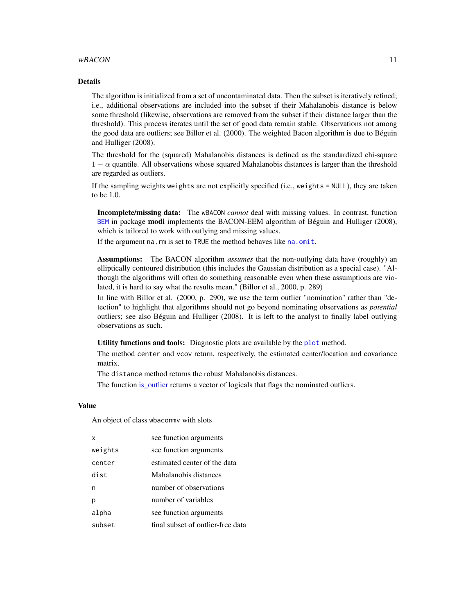#### <span id="page-10-0"></span>wBACON 11

#### Details

The algorithm is initialized from a set of uncontaminated data. Then the subset is iteratively refined; i.e., additional observations are included into the subset if their Mahalanobis distance is below some threshold (likewise, observations are removed from the subset if their distance larger than the threshold). This process iterates until the set of good data remain stable. Observations not among the good data are outliers; see Billor et al. (2000). The weighted Bacon algorithm is due to Béguin and Hulliger (2008).

The threshold for the (squared) Mahalanobis distances is defined as the standardized chi-square  $1 - \alpha$  quantile. All observations whose squared Mahalanobis distances is larger than the threshold are regarded as outliers.

If the sampling weights weights are not explicitly specified (i.e., weights = NULL), they are taken to be 1.0.

Incomplete/missing data: The wBACON *cannot* deal with missing values. In contrast, function [BEM](#page-0-0) in package modi implements the BACON-EEM algorithm of Béguin and Hulliger (2008), which is tailored to work with outlying and missing values.

If the argument na.rm is set to TRUE the method behaves like [na.omit](#page-0-0).

Assumptions: The BACON algorithm *assumes* that the non-outlying data have (roughly) an elliptically contoured distribution (this includes the Gaussian distribution as a special case). "Although the algorithms will often do something reasonable even when these assumptions are violated, it is hard to say what the results mean." (Billor et al., 2000, p. 289)

In line with Billor et al. (2000, p. 290), we use the term outlier "nomination" rather than "detection" to highlight that algorithms should not go beyond nominating observations as *potential* outliers; see also Béguin and Hulliger (2008). It is left to the analyst to finally label outlying observations as such.

Utility functions and tools: Diagnostic [plot](#page-5-1)s are available by the plot method.

The method center and vcov return, respectively, the estimated center/location and covariance matrix.

The distance method returns the robust Mahalanobis distances.

The function is outlier returns a vector of logicals that flags the nominated outliers.

#### Value

An object of class wbaconmv with slots

| X       | see function arguments            |
|---------|-----------------------------------|
| weights | see function arguments            |
| center  | estimated center of the data      |
| dist    | Mahalanobis distances             |
| n       | number of observations            |
| р       | number of variables               |
| alpha   | see function arguments            |
| subset  | final subset of outlier-free data |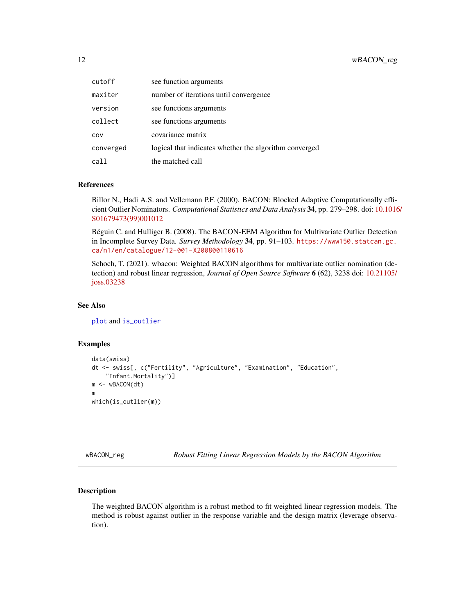<span id="page-11-0"></span>

| cutoff    | see function arguments                                 |
|-----------|--------------------------------------------------------|
| maxiter   | number of iterations until convergence                 |
| version   | see functions arguments                                |
| collect   | see functions arguments                                |
| COV       | covariance matrix                                      |
| converged | logical that indicates whether the algorithm converged |
| call      | the matched call                                       |

#### References

Billor N., Hadi A.S. and Vellemann P.F. (2000). BACON: Blocked Adaptive Computationally efficient Outlier Nominators. *Computational Statistics and Data Analysis* 34, pp. 279–298. doi: [10.1016](https://doi.org/10.1016/S0167-9473(99)00101-2)/ [S01679473\(99\)001012](https://doi.org/10.1016/S0167-9473(99)00101-2)

Béguin C. and Hulliger B. (2008). The BACON-EEM Algorithm for Multivariate Outlier Detection in Incomplete Survey Data. *Survey Methodology* 34, pp. 91–103. [https://www150.statcan.gc.](https://www150.statcan.gc.ca/n1/en/catalogue/12-001-X200800110616) [ca/n1/en/catalogue/12-001-X200800110616](https://www150.statcan.gc.ca/n1/en/catalogue/12-001-X200800110616)

Schoch, T. (2021). wbacon: Weighted BACON algorithms for multivariate outlier nomination (detection) and robust linear regression, *Journal of Open Source Software* 6 (62), 3238 doi: [10.21105/](https://doi.org/10.21105/joss.03238) [joss.03238](https://doi.org/10.21105/joss.03238)

#### See Also

[plot](#page-5-1) and [is\\_outlier](#page-2-2)

#### Examples

```
data(swiss)
dt <- swiss[, c("Fertility", "Agriculture", "Examination", "Education",
    "Infant.Mortality")]
m <- wBACON(dt)
m
which(is_outlier(m))
```
<span id="page-11-1"></span>wBACON\_reg *Robust Fitting Linear Regression Models by the BACON Algorithm*

#### Description

The weighted BACON algorithm is a robust method to fit weighted linear regression models. The method is robust against outlier in the response variable and the design matrix (leverage observation).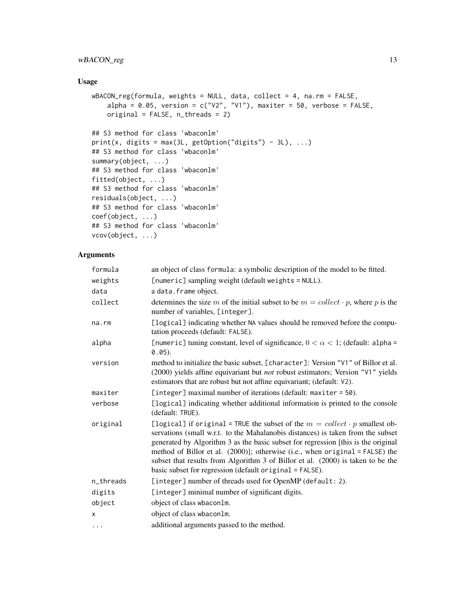#### wBACON\_reg 13

#### Usage

```
wBACON_reg(formula, weights = NULL, data, collect = 4, na.rm = FALSE,
   alpha = 0.05, version = c("V2", "V1"), maxiter = 50, verbose = FALSE,
   original = FALSE, n_threads = 2)
## S3 method for class 'wbaconlm'
print(x, digits = max(3L, getOption("digits") - 3L), ...)## S3 method for class 'wbaconlm'
summary(object, ...)
## S3 method for class 'wbaconlm'
fitted(object, ...)
## S3 method for class 'wbaconlm'
residuals(object, ...)
## S3 method for class 'wbaconlm'
coef(object, ...)
## S3 method for class 'wbaconlm'
vcov(object, ...)
```
#### Arguments

| formula   | an object of class formula: a symbolic description of the model to be fitted.                                                                                                                                                                                                                                                                                                                                                                                                           |
|-----------|-----------------------------------------------------------------------------------------------------------------------------------------------------------------------------------------------------------------------------------------------------------------------------------------------------------------------------------------------------------------------------------------------------------------------------------------------------------------------------------------|
| weights   | [numeric] sampling weight (default weights = NULL).                                                                                                                                                                                                                                                                                                                                                                                                                                     |
| data      | a data. frame object.                                                                                                                                                                                                                                                                                                                                                                                                                                                                   |
| collect   | determines the size m of the initial subset to be $m = collect \cdot p$ , where p is the<br>number of variables, [integer].                                                                                                                                                                                                                                                                                                                                                             |
| na.rm     | [logical] indicating whether NA values should be removed before the compu-<br>tation proceeds (default: FALSE).                                                                                                                                                                                                                                                                                                                                                                         |
| alpha     | [numeric] tuning constant, level of significance, $0 < \alpha < 1$ ; (default: alpha =<br>$0.05$ ).                                                                                                                                                                                                                                                                                                                                                                                     |
| version   | method to initialize the basic subset, [character]: Version "V1" of Billor et al.<br>(2000) yields affine equivariant but not robust estimators; Version "V1" yields<br>estimators that are robust but not affine equivariant; (default: V2).                                                                                                                                                                                                                                           |
| maxiter   | [integer] maximal number of iterations (default: maxiter = 50).                                                                                                                                                                                                                                                                                                                                                                                                                         |
| verbose   | [logical] indicating whether additional information is printed to the console<br>(default: TRUE).                                                                                                                                                                                                                                                                                                                                                                                       |
| original  | [logical] if original = TRUE the subset of the $m = collect \cdot p$ smallest ob-<br>servations (small w.r.t. to the Mahalanobis distances) is taken from the subset<br>generated by Algorithm 3 as the basic subset for regression [this is the original<br>method of Billor et al. (2000)]; otherwise (i.e., when original = FALSE) the<br>subset that results from Algorithm 3 of Billor et al. (2000) is taken to be the<br>basic subset for regression (default original = FALSE). |
| n_threads | [integer] number of threads used for OpenMP (default: 2).                                                                                                                                                                                                                                                                                                                                                                                                                               |
| digits    | [integer] minimal number of significant digits.                                                                                                                                                                                                                                                                                                                                                                                                                                         |
| object    | object of class wbaconlm.                                                                                                                                                                                                                                                                                                                                                                                                                                                               |
| x         | object of class wbacon1m.                                                                                                                                                                                                                                                                                                                                                                                                                                                               |
| $\cdots$  | additional arguments passed to the method.                                                                                                                                                                                                                                                                                                                                                                                                                                              |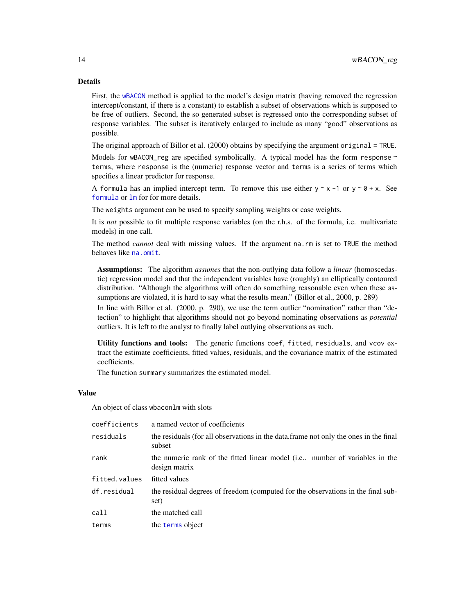#### <span id="page-13-0"></span>Details

First, the [wBACON](#page-9-1) method is applied to the model's design matrix (having removed the regression intercept/constant, if there is a constant) to establish a subset of observations which is supposed to be free of outliers. Second, the so generated subset is regressed onto the corresponding subset of response variables. The subset is iteratively enlarged to include as many "good" observations as possible.

The original approach of Billor et al. (2000) obtains by specifying the argument original = TRUE.

Models for wBACON\_reg are specified symbolically. A typical model has the form response  $\sim$ terms, where response is the (numeric) response vector and terms is a series of terms which specifies a linear predictor for response.

A formula has an implied intercept term. To remove this use either  $y \sim x - 1$  or  $y \sim \theta + x$ . See [formula](#page-0-0) or [lm](#page-0-0) for for more details.

The weights argument can be used to specify sampling weights or case weights.

It is *not* possible to fit multiple response variables (on the r.h.s. of the formula, i.e. multivariate models) in one call.

The method *cannot* deal with missing values. If the argument na.rm is set to TRUE the method behaves like [na.omit](#page-0-0).

Assumptions: The algorithm *assumes* that the non-outlying data follow a *linear* (homoscedastic) regression model and that the independent variables have (roughly) an elliptically contoured distribution. "Although the algorithms will often do something reasonable even when these assumptions are violated, it is hard to say what the results mean." (Billor et al., 2000, p. 289)

In line with Billor et al. (2000, p. 290), we use the term outlier "nomination" rather than "detection" to highlight that algorithms should not go beyond nominating observations as *potential* outliers. It is left to the analyst to finally label outlying observations as such.

Utility functions and tools: The generic functions coef, fitted, residuals, and vcov extract the estimate coefficients, fitted values, residuals, and the covariance matrix of the estimated coefficients.

The function summary summarizes the estimated model.

#### Value

An object of class wbaconlm with slots

| coefficients  | a named vector of coefficients                                                                 |
|---------------|------------------------------------------------------------------------------------------------|
| residuals     | the residuals (for all observations in the data frame not only the ones in the final<br>subset |
| rank          | the numeric rank of the fitted linear model (i.e., number of variables in the<br>design matrix |
| fitted.values | fitted values                                                                                  |
| df.residual   | the residual degrees of freedom (computed for the observations in the final sub-<br>set)       |
| call          | the matched call                                                                               |
| terms         | the terms object                                                                               |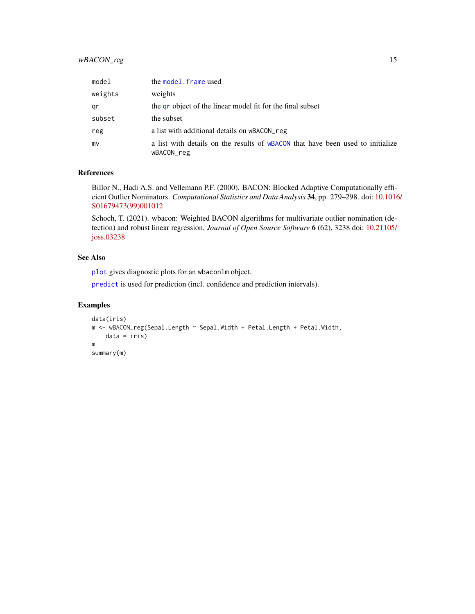#### <span id="page-14-0"></span>wBACON\_reg 15

| model   | the model. frame used                                                                        |
|---------|----------------------------------------------------------------------------------------------|
| weights | weights                                                                                      |
| qr      | the gr object of the linear model fit for the final subset                                   |
| subset  | the subset                                                                                   |
| reg     | a list with additional details on wBACON reg                                                 |
| mv      | a list with details on the results of wBACON that have been used to initialize<br>wBACON_reg |

#### References

Billor N., Hadi A.S. and Vellemann P.F. (2000). BACON: Blocked Adaptive Computationally efficient Outlier Nominators. *Computational Statistics and Data Analysis* 34, pp. 279–298. doi: [10.1016](https://doi.org/10.1016/S0167-9473(99)00101-2)/ [S01679473\(99\)001012](https://doi.org/10.1016/S0167-9473(99)00101-2)

Schoch, T. (2021). wbacon: Weighted BACON algorithms for multivariate outlier nomination (detection) and robust linear regression, *Journal of Open Source Software* 6 (62), 3238 doi: [10.21105/](https://doi.org/10.21105/joss.03238) [joss.03238](https://doi.org/10.21105/joss.03238)

#### See Also

[plot](#page-3-1) gives diagnostic plots for an wbaconlm object.

[predict](#page-6-1) is used for prediction (incl. confidence and prediction intervals).

#### Examples

```
data(iris)
m <- wBACON_reg(Sepal.Length ~ Sepal.Width + Petal.Length + Petal.Width,
   data = iris)
m
summary(m)
```